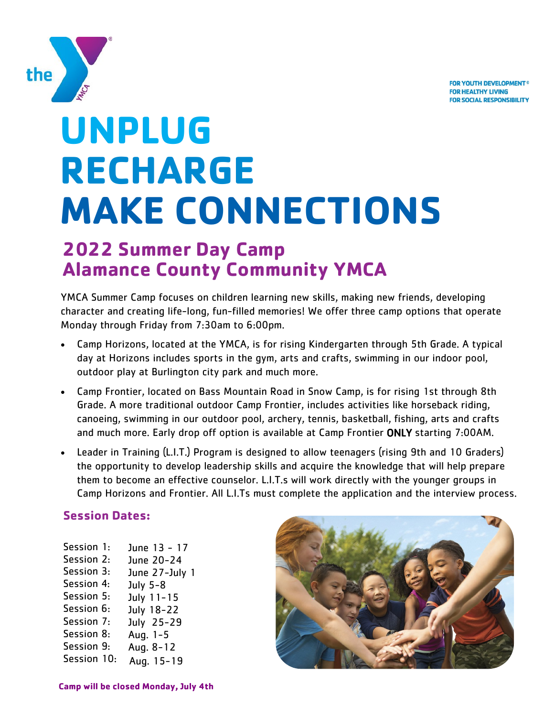**FOR YOUTH DEVELOPMENT® FOR HEALTHY LIVING FOR SOCIAL RESPONSIBILITY** 



# **UNPLUG RECHARGE MAKE CONNECTIONS**

## **2022 Summer Day Camp Alamance County Community YMCA**

YMCA Summer Camp focuses on children learning new skills, making new friends, developing character and creating life-long, fun-filled memories! We offer three camp options that operate Monday through Friday from 7:30am to 6:00pm.

- Camp Horizons, located at the YMCA, is for rising Kindergarten through 5th Grade. A typical day at Horizons includes sports in the gym, arts and crafts, swimming in our indoor pool, outdoor play at Burlington city park and much more.
- Camp Frontier, located on Bass Mountain Road in Snow Camp, is for rising 1st through 8th Grade. A more traditional outdoor Camp Frontier, includes activities like horseback riding, canoeing, swimming in our outdoor pool, archery, tennis, basketball, fishing, arts and crafts and much more. Early drop off option is available at Camp Frontier ONLY starting 7:00AM.
- Leader in Training (L.I.T.) Program is designed to allow teenagers (rising 9th and 10 Graders) the opportunity to develop leadership skills and acquire the knowledge that will help prepare them to become an effective counselor. L.I.T.s will work directly with the younger groups in Camp Horizons and Frontier. All L.I.Ts must complete the application and the interview process.

#### **Session Dates:**

| Session 1:  | June 13 - 17   |
|-------------|----------------|
| Session 2:  | June 20-24     |
| Session 3:  | June 27-July 1 |
| Session 4:  | July 5-8       |
| Session 5:  | July 11-15     |
| Session 6:  | July 18-22     |
| Session 7:  | July 25-29     |
| Session 8:  | Aug. 1-5       |
| Session 9:  | Aug. 8-12      |
| Session 10: | Aug. 15-19     |
|             |                |